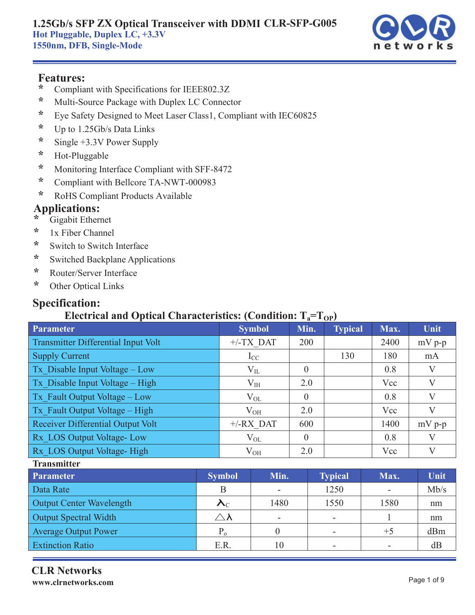

# **Features:**

- **\*** Compliant with Specifications for IEEE802.3Z
- **\*** Multi-Source Package with Duplex LC Connector
- **\*** Eye Safety Designed to Meet Laser Class1, Compliant with IEC60825
- **\*** Up to 1.25Gb/s Data Links
- **\*** Single +3.3V Power Supply
- **\*** Hot-Pluggable
- **\*** Monitoring Interface Compliant with SFF-8472
- **\*** Compliant with Bellcore TA-NWT-000983
- **\*** RoHS Compliant Products Available

# **Applications:**

- **\*** Gigabit Ethernet
- **\*** 1x Fiber Channel
- **\*** Switch to Switch Interface
- **\*** Switched Backplane Applications
- **\*** Router/Server Interface
- **\*** Other Optical Links

# **Specification:**

# Electrical and Optical Characteristics: (Condition:  $T_a = T_{\Omega}P_a$ )

| $\blacksquare$                             |               |          | $-0r$          |      |          |
|--------------------------------------------|---------------|----------|----------------|------|----------|
| <b>Parameter</b>                           | <b>Symbol</b> | Min.     | <b>Typical</b> | Max. | Unit     |
| <b>Transmitter Differential Input Volt</b> | $+/-TX$ DAT   | 200      |                | 2400 | $mV$ p-p |
| <b>Supply Current</b>                      | $I_{CC}$      |          | 130            | 180  | mA       |
| $Tx$ Disable Input Voltage – Low           | $V_{IL}$      | $\theta$ |                | 0.8  | V        |
| Tx Disable Input Voltage – High            | $\rm V_{IH}$  | 2.0      |                | Vcc  | V        |
| Tx Fault Output Voltage – Low              | $V_{OL}$      | $\theta$ |                | 0.8  | V        |
| Tx Fault Output Voltage – High             | $V_{OH}$      | 2.0      |                | Vcc  | V        |
| <b>Receiver Differential Output Volt</b>   | $+/-RX$ DAT   | 600      |                | 1400 | $mV$ p-p |
| Rx LOS Output Voltage-Low                  | $V_{OL}$      | $\theta$ |                | 0.8  | V        |
| Rx LOS Output Voltage-High                 | $V_{OH}$      | 2.0      |                | Vcc  | V        |
| <b>Transmitter</b>                         |               |          |                |      |          |

| <b>Parameter</b>                | <b>Symbol</b>                     | Min.                     | <b>Typical</b>           | Max. | Unit |
|---------------------------------|-----------------------------------|--------------------------|--------------------------|------|------|
| Data Rate                       | B                                 | $\overline{\phantom{a}}$ | 1250                     |      | Mb/s |
| <b>Output Center Wavelength</b> | $\boldsymbol{\lambda}_\mathrm{C}$ | 1480                     | 1550                     | 1580 | nm   |
| <b>Output Spectral Width</b>    | $\triangle \lambda$               |                          | $\overline{\phantom{a}}$ |      | nm   |
| <b>Average Output Power</b>     | $P_{o}$                           |                          | -                        | $+5$ | dBm  |
| <b>Extinction Ratio</b>         | E.R.                              | 10                       | -                        |      | dВ   |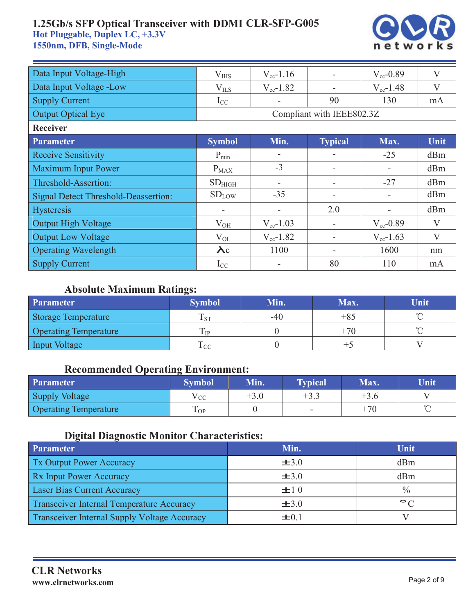

| Data Input Voltage-High                     | $V_{IHS}$     | $V_{cc}$ -1.16 |                           | $V_{cc}$ -0.89 | V    |
|---------------------------------------------|---------------|----------------|---------------------------|----------------|------|
| Data Input Voltage -Low                     | $V_{ILS}$     | $V_{cc}$ -1.82 |                           | $V_{cc}$ -1.48 | V    |
| <b>Supply Current</b>                       | $I_{CC}$      |                | 90                        | 130            | mA   |
| <b>Output Optical Eye</b>                   |               |                | Compliant with IEEE802.3Z |                |      |
| Receiver                                    |               |                |                           |                |      |
| Parameter                                   | <b>Symbol</b> | Min.           | <b>Typical</b>            | Max.           | Unit |
| <b>Receive Sensitivity</b>                  | $P_{min}$     |                |                           | $-25$          | dBm  |
| <b>Maximum Input Power</b>                  | $P_{MAX}$     | $-3$           |                           |                | dBm  |
| Threshold-Assertion:                        | $SD_{HIGH}$   |                |                           | $-27$          | dBm  |
| <b>Signal Detect Threshold-Deassertion:</b> | $SD_{LOW}$    | $-35$          |                           |                | dBm  |
| <b>Hysteresis</b>                           |               |                | 2.0                       |                | dBm  |
| <b>Output High Voltage</b>                  | $V_{OH}$      | $V_{cc}$ -1.03 |                           | $V_{cc}$ -0.89 | V    |
| <b>Output Low Voltage</b>                   | $V_{OL}$      | $V_{cc}$ -1.82 |                           | $V_{cc}$ -1.63 | V    |
| <b>Operating Wavelength</b>                 | $\lambda c$   | 1100           |                           | 1600           | nm   |
| <b>Supply Current</b>                       | $I_{CC}$      |                | 80                        | 110            | mA   |

### **Absolute Maximum Ratings:**

| <b>Parameter</b>             | <b>Symbol</b> | Min. | Max.  | Unit |
|------------------------------|---------------|------|-------|------|
| Storage Temperature          | 4ST           | -40  | $+85$ |      |
| <b>Operating Temperature</b> | ᠇᠇<br>I ID    |      | $+70$ |      |
| Input Voltage                | m,<br>CC      |      | $+$   |      |

# **Recommended Operating Environment:**

| Parameter                    | $\overline{\phantom{a}}$<br><b>Symbol</b> | Min.   | <b>Typical</b> | Max.   | Unit   |
|------------------------------|-------------------------------------------|--------|----------------|--------|--------|
| Supply Voltage               | $\rm v_{\rm CC}$                          | $+3.0$ |                | $+3.6$ |        |
| <b>Operating Temperature</b> | $\mathbf{r}$<br>l OP                      |        | ۰.             | $+70$  | $\sim$ |

### **Digital Diagnostic Monitor Characteristics:**

| <b>Parameter</b>                                    | Min.      | Unit          |
|-----------------------------------------------------|-----------|---------------|
| <b>Tx Output Power Accuracy</b>                     | $\pm 3.0$ | dBm           |
| <b>Rx Input Power Accuracy</b>                      | $\pm 3.0$ | dBm           |
| <b>Laser Bias Current Accuracy</b>                  | ±10       | $\frac{0}{0}$ |
| <b>Transceiver Internal Temperature Accuracy</b>    | $\pm 3.0$ | $\circ$       |
| <b>Transceiver Internal Supply Voltage Accuracy</b> | $\pm 0.1$ |               |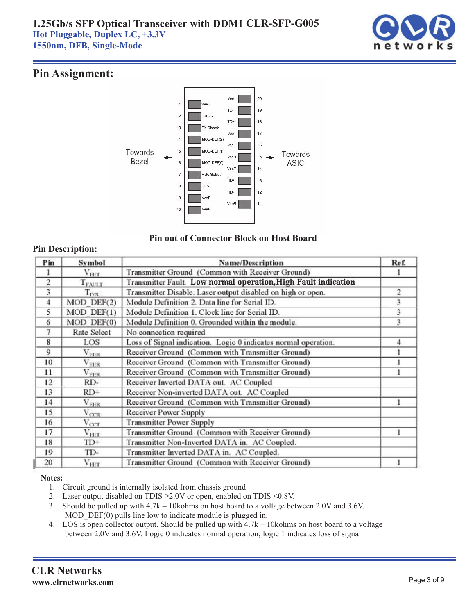

### **Pin Assignment:**





#### **Pin Description:**

| Pin            | Symbol             | <b>Name/Description</b>                                        | Ref.           |
|----------------|--------------------|----------------------------------------------------------------|----------------|
|                | $V_{EET}$          | Transmitter Ground (Common with Receiver Ground)               |                |
| $\overline{2}$ | TFALLT             | Transmitter Fault. Low normal operation, High Fault indication |                |
| 3              | $T_{\rm DIS}$      | Transmitter Disable. Laser output disabled on high or open.    | $\overline{c}$ |
| 4              | $MOD$ $DEF(2)$     | Module Definition 2. Data line for Serial ID.                  | 3              |
| 5              | $MOD$ $DEF(1)$     | Module Definition 1. Clock line for Serial ID.                 | 3              |
| 6              | $MOD$ $DEF(0)$     | Module Definition 0. Grounded within the module.               | 3              |
| 7              | Rate Select        | No connection required                                         |                |
| 8              | LOS                | Loss of Signal indication. Logic 0 indicates normal operation. |                |
| 9              | $\rm{V_{EER}}$     | Receiver Ground (Common with Transmitter Ground)               |                |
| 10             | $\rm V_{EER}$      | Receiver Ground (Common with Transmitter Ground)               |                |
| 11             | V <sub>FER</sub>   | Receiver Ground (Common with Transmitter Ground)               |                |
| 12             | RD-                | Receiver Inverted DATA out. AC Coupled                         |                |
| 13             | $RD+$              | Receiver Non-inverted DATA out. AC Coupled                     |                |
| 14             | $V_{\rm EER}$      | Receiver Ground (Common with Transmitter Ground)               |                |
| 15             | $V_{\text{CCR}}$   | Receiver Power Supply                                          |                |
| 16             | $V_{\rm CCT}$      | <b>Transmitter Power Supply</b>                                |                |
| 17             | $\rm{V}_{\rm EET}$ | Transmitter Ground (Common with Receiver Ground)               |                |
| 18             | $TD+$              | Transmitter Non-Inverted DATA in. AC Coupled.                  |                |
| 19             | TD-                | Transmitter Inverted DATA in. AC Coupled.                      |                |
| 20             | $V_{EET}$          | Transmitter Ground (Common with Receiver Ground)               |                |

#### **Notes:**

- 1. Circuit ground is internally isolated from chassis ground.
- 2. Laser output disabled on TDIS >2.0V or open, enabled on TDIS <0.8V.
- 3. Should be pulled up with 4.7k 10kohms on host board to a voltage between 2.0V and 3.6V. MOD DEF(0) pulls line low to indicate module is plugged in.
- 4. LOS is open collector output. Should be pulled up with 4.7k 10kohms on host board to a voltage between 2.0V and 3.6V. Logic 0 indicates normal operation; logic 1 indicates loss of signal.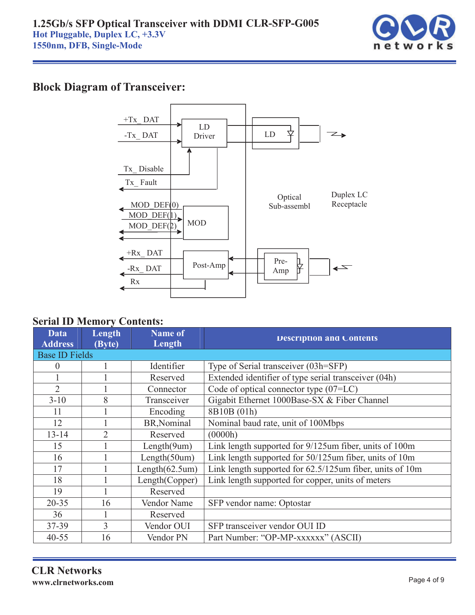

# **Block Diagram of Transceiver:**



### **Serial ID Memory Contents:**

| Data<br><b>Address</b> | Length<br>(Byte) | <b>Name of</b><br>Length  | <b>Description and Contents</b>                             |
|------------------------|------------------|---------------------------|-------------------------------------------------------------|
| <b>Base ID Fields</b>  |                  |                           |                                                             |
| $\theta$               |                  | Identifier                | Type of Serial transceiver (03h=SFP)                        |
|                        |                  | Reserved                  | Extended identifier of type serial transceiver (04h)        |
| $\overline{2}$         |                  | Connector                 | Code of optical connector type $(07=LC)$                    |
| $3 - 10$               | 8                | Transceiver               | Gigabit Ethernet 1000Base-SX & Fiber Channel                |
| 11                     |                  | Encoding                  | 8B10B (01h)                                                 |
| 12                     |                  | BR, Nominal               | Nominal baud rate, unit of 100Mbps                          |
| $13 - 14$              | $\overline{2}$   | Reserved                  | (0000h)                                                     |
| 15                     |                  | Length(9um)               | Link length supported for 9/125um fiber, units of 100m      |
| 16                     |                  | Length(50um)              | Link length supported for 50/125um fiber, units of 10m      |
| 17                     |                  | Length $(62.5 \text{um})$ | Link length supported for $62.5/125$ um fiber, units of 10m |
| 18                     |                  | Length(Copper)            | Link length supported for copper, units of meters           |
| 19                     |                  | Reserved                  |                                                             |
| $20 - 35$              | 16               | Vendor Name               | SFP vendor name: Optostar                                   |
| 36                     |                  | Reserved                  |                                                             |
| 37-39                  | 3                | Vendor OUI                | SFP transceiver vendor OUI ID                               |
| $40 - 55$              | 16               | Vendor PN                 | Part Number: "OP-MP-xxxxxx" (ASCII)                         |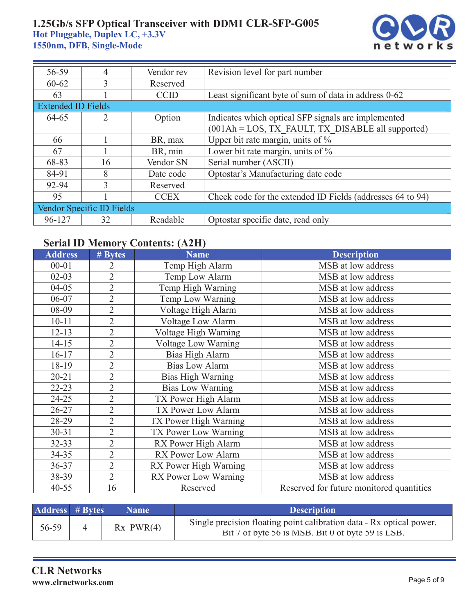

| 56-59              | 4                         | Vendor rev  | Revision level for part number                                                                                                  |
|--------------------|---------------------------|-------------|---------------------------------------------------------------------------------------------------------------------------------|
| $60 - 62$          | 3                         | Reserved    |                                                                                                                                 |
| 63                 |                           | <b>CCID</b> | Least significant byte of sum of data in address 0-62                                                                           |
| Extended ID Fields |                           |             |                                                                                                                                 |
| 64-65              |                           | Option      | Indicates which optical SFP signals are implemented<br>$(001\text{Ah} = \text{LOS}, \text{TX}$ FAULT, TX DISABLE all supported) |
| 66                 |                           | BR, max     | Upper bit rate margin, units of %                                                                                               |
| 67                 |                           | BR, min     | Lower bit rate margin, units of %                                                                                               |
| 68-83              | 16                        | Vendor SN   | Serial number (ASCII)                                                                                                           |
| 84-91              | 8                         | Date code   | Optostar's Manufacturing date code                                                                                              |
| 92-94              | $\mathbf{R}$              | Reserved    |                                                                                                                                 |
| 95                 |                           | <b>CCEX</b> | Check code for the extended ID Fields (addresses 64 to 94)                                                                      |
|                    | Vendor Specific ID Fields |             |                                                                                                                                 |
| 96-127             | 32                        | Readable    | Optostar specific date, read only                                                                                               |

# **Serial ID Memory Contents: (A2H)**

| <b>Address</b> | $#$ Bytes                                 | <b>Name</b>              | <b>Description</b>                       |
|----------------|-------------------------------------------|--------------------------|------------------------------------------|
| $00 - 01$      |                                           | Temp High Alarm          | MSB at low address                       |
| $02 - 03$      | $\overline{2}$                            | Temp Low Alarm           | MSB at low address                       |
| $04 - 05$      | $\overline{2}$                            | Temp High Warning        | MSB at low address                       |
| 06-07          | $\overline{2}$                            | Temp Low Warning         | MSB at low address                       |
| 08-09          | $\overline{2}$                            | Voltage High Alarm       | MSB at low address                       |
| $10 - 11$      | $\overline{2}$                            | Voltage Low Alarm        | MSB at low address                       |
| $12 - 13$      | $\overline{2}$                            | Voltage High Warning     | MSB at low address                       |
| $14 - 15$      | $\overline{2}$                            | Voltage Low Warning      | MSB at low address                       |
| $16 - 17$      | $\overline{2}$                            | Bias High Alarm          | MSB at low address                       |
| 18-19          | $\overline{2}$                            | <b>Bias Low Alarm</b>    | MSB at low address                       |
| $20 - 21$      | $\overline{2}$                            | <b>Bias High Warning</b> | MSB at low address                       |
| $22 - 23$      | $\overline{2}$<br><b>Bias Low Warning</b> |                          | MSB at low address                       |
| $24 - 25$      | $\overline{2}$<br>TX Power High Alarm     |                          | MSB at low address                       |
| $26 - 27$      | $\overline{2}$                            | TX Power Low Alarm       | MSB at low address                       |
| 28-29          | $\overline{2}$                            | TX Power High Warning    | MSB at low address                       |
| $30 - 31$      | $\overline{2}$                            | TX Power Low Warning     | MSB at low address                       |
| 32-33          | $\overline{2}$                            | RX Power High Alarm      | MSB at low address                       |
| $34 - 35$      | $\overline{2}$                            | RX Power Low Alarm       | MSB at low address                       |
| 36-37          | $\overline{2}$                            | RX Power High Warning    | MSB at low address                       |
| 38-39          | $\overline{2}$                            | RX Power Low Warning     | MSB at low address                       |
| $40 - 55$      | 16                                        | Reserved                 | Reserved for future monitored quantities |

| <b>Address</b> # Bytes | <b>Name</b>    | <b>Description</b>                                                                                                        |
|------------------------|----------------|---------------------------------------------------------------------------------------------------------------------------|
| 56-59                  | $Rx$ PWR $(4)$ | Single precision floating point calibration data - Rx optical power.<br>Bit / of byte 56 is MSB. Bit 0 of byte 59 is LSB. |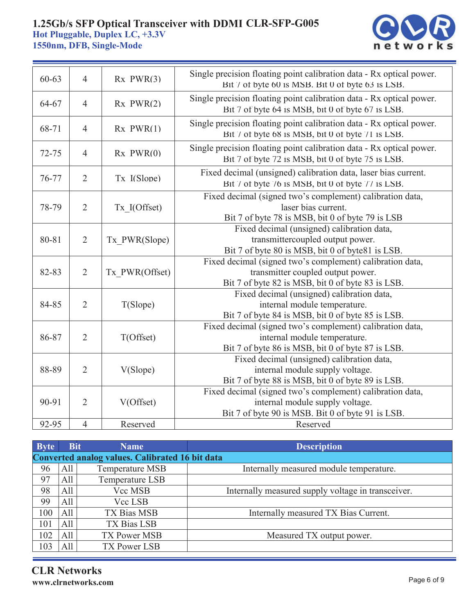

| $60 - 63$ | $\overline{4}$ | $Rx$ PWR(3)    | Single precision floating point calibration data - Rx optical power.<br>Bit 7 of byte 60 is MSB. Bit 0 of byte 63 is LSB.                           |
|-----------|----------------|----------------|-----------------------------------------------------------------------------------------------------------------------------------------------------|
| 64-67     | $\overline{4}$ | $Rx$ PWR $(2)$ | Single precision floating point calibration data - Rx optical power.<br>Bit 7 of byte 64 is MSB, bit 0 of byte 67 is LSB.                           |
| 68-71     | $\overline{4}$ | $Rx$ PWR(1)    | Single precision floating point calibration data - Rx optical power.<br>Bit 7 of byte 68 is MSB, bit 0 of byte 71 is LSB.                           |
| $72 - 75$ | $\overline{4}$ | $Rx$ PWR $(0)$ | Single precision floating point calibration data - Rx optical power.<br>Bit 7 of byte 72 is MSB, bit 0 of byte 75 is LSB.                           |
| 76-77     | $\overline{2}$ | Tx I(Slope)    | Fixed decimal (unsigned) calibration data, laser bias current.<br>Bit 7 of byte 76 is MSB, bit 0 of byte 77 is LSB.                                 |
| 78-79     | $\overline{2}$ | Tx I(Offset)   | Fixed decimal (signed two's complement) calibration data,<br>laser bias current.<br>Bit 7 of byte 78 is MSB, bit 0 of byte 79 is LSB                |
| 80-81     | $\overline{2}$ | Tx PWR(Slope)  | Fixed decimal (unsigned) calibration data,<br>transmittercoupled output power.<br>Bit 7 of byte 80 is MSB, bit 0 of byte81 is LSB.                  |
| 82-83     | $\overline{2}$ | Tx PWR(Offset) | Fixed decimal (signed two's complement) calibration data,<br>transmitter coupled output power.<br>Bit 7 of byte 82 is MSB, bit 0 of byte 83 is LSB. |
| 84-85     | $\overline{2}$ | T(Slope)       | Fixed decimal (unsigned) calibration data,<br>internal module temperature.<br>Bit 7 of byte 84 is MSB, bit 0 of byte 85 is LSB.                     |
| 86-87     | $\overline{2}$ | T(Offset)      | Fixed decimal (signed two's complement) calibration data,<br>internal module temperature.<br>Bit 7 of byte 86 is MSB, bit 0 of byte 87 is LSB.      |
| 88-89     | $\overline{2}$ | V(Slope)       | Fixed decimal (unsigned) calibration data,<br>internal module supply voltage.<br>Bit 7 of byte 88 is MSB, bit 0 of byte 89 is LSB.                  |
| 90-91     | $\overline{2}$ | V(Offset)      | Fixed decimal (signed two's complement) calibration data,<br>internal module supply voltage.<br>Bit 7 of byte 90 is MSB. Bit 0 of byte 91 is LSB.   |
| 92-95     | $\overline{4}$ | Reserved       | Reserved                                                                                                                                            |

| <b>Byte</b> | <b>Bit</b> | Name                                                   | <b>Description</b>                                 |
|-------------|------------|--------------------------------------------------------|----------------------------------------------------|
|             |            | <b>Converted analog values. Calibrated 16 bit data</b> |                                                    |
| 96          | All        | Temperature MSB                                        | Internally measured module temperature.            |
| 97          | All        | Temperature LSB                                        |                                                    |
| 98          | All        | Vcc MSB                                                | Internally measured supply voltage in transceiver. |
| 99          | All        | Vcc LSB                                                |                                                    |
| 100         | All        | TX Bias MSB                                            | Internally measured TX Bias Current.               |
| 101         | All        | TX Bias LSB                                            |                                                    |
| 102         | All        | <b>TX Power MSB</b>                                    | Measured TX output power.                          |
| 103         | All        | TX Power LSB                                           |                                                    |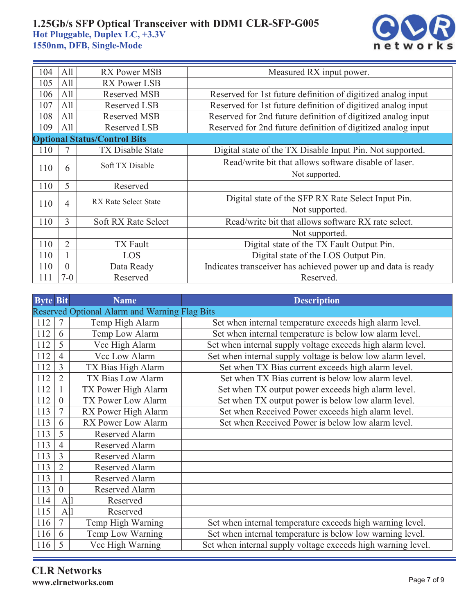

| 104 | All                                 | <b>RX</b> Power MSB                                                                        | Measured RX input power.                                             |  |  |  |
|-----|-------------------------------------|--------------------------------------------------------------------------------------------|----------------------------------------------------------------------|--|--|--|
| 105 | All                                 | <b>RX Power LSB</b>                                                                        |                                                                      |  |  |  |
| 106 | All                                 | Reserved MSB                                                                               | Reserved for 1st future definition of digitized analog input         |  |  |  |
| 107 | All                                 | <b>Reserved LSB</b>                                                                        | Reserved for 1st future definition of digitized analog input         |  |  |  |
| 108 | All                                 | <b>Reserved MSB</b>                                                                        | Reserved for 2nd future definition of digitized analog input         |  |  |  |
| 109 | All                                 | <b>Reserved LSB</b>                                                                        | Reserved for 2nd future definition of digitized analog input         |  |  |  |
|     | <b>Optional Status/Control Bits</b> |                                                                                            |                                                                      |  |  |  |
| 110 | 7                                   | <b>TX Disable State</b><br>Digital state of the TX Disable Input Pin. Not supported.       |                                                                      |  |  |  |
| 110 | 6                                   | Read/write bit that allows software disable of laser.<br>Soft TX Disable<br>Not supported. |                                                                      |  |  |  |
| 110 | 5                                   | Reserved                                                                                   |                                                                      |  |  |  |
| 110 | $\overline{4}$                      | <b>RX Rate Select State</b>                                                                | Digital state of the SFP RX Rate Select Input Pin.<br>Not supported. |  |  |  |
| 110 | 3                                   | Soft RX Rate Select                                                                        | Read/write bit that allows software RX rate select.                  |  |  |  |
|     |                                     |                                                                                            | Not supported.                                                       |  |  |  |
| 110 | $\overline{2}$                      | <b>TX</b> Fault                                                                            | Digital state of the TX Fault Output Pin.                            |  |  |  |
| 110 | 1                                   | <b>LOS</b>                                                                                 | Digital state of the LOS Output Pin.                                 |  |  |  |
| 110 | $\theta$                            | Data Ready                                                                                 | Indicates transceiver has achieved power up and data is ready        |  |  |  |
| 111 | $7 - 0$                             | Reserved                                                                                   | Reserved.                                                            |  |  |  |

| <b>Byte Bit</b> |                                                      | <b>Name</b>                                                             | <b>Description</b>                                           |  |  |  |
|-----------------|------------------------------------------------------|-------------------------------------------------------------------------|--------------------------------------------------------------|--|--|--|
|                 | <b>Reserved Optional Alarm and Warning Flag Bits</b> |                                                                         |                                                              |  |  |  |
| 112             | $\overline{7}$                                       | Temp High Alarm                                                         | Set when internal temperature exceeds high alarm level.      |  |  |  |
| 112             | 6                                                    | Temp Low Alarm                                                          | Set when internal temperature is below low alarm level.      |  |  |  |
| 112             | 5                                                    | Vcc High Alarm                                                          | Set when internal supply voltage exceeds high alarm level.   |  |  |  |
| 112             | $\overline{4}$                                       | Vcc Low Alarm                                                           | Set when internal supply voltage is below low alarm level.   |  |  |  |
| 112             | 3                                                    | TX Bias High Alarm                                                      | Set when TX Bias current exceeds high alarm level.           |  |  |  |
| 112             | $\overline{2}$                                       | Set when TX Bias current is below low alarm level.<br>TX Bias Low Alarm |                                                              |  |  |  |
| 112             |                                                      | TX Power High Alarm                                                     | Set when TX output power exceeds high alarm level.           |  |  |  |
| 112             | $\overline{0}$                                       | TX Power Low Alarm                                                      | Set when TX output power is below low alarm level.           |  |  |  |
| 113             | $\overline{7}$                                       | RX Power High Alarm                                                     | Set when Received Power exceeds high alarm level.            |  |  |  |
| 113             | 6                                                    | RX Power Low Alarm                                                      | Set when Received Power is below low alarm level.            |  |  |  |
| 113             | 5                                                    | Reserved Alarm                                                          |                                                              |  |  |  |
| 113             | $\overline{4}$                                       | Reserved Alarm                                                          |                                                              |  |  |  |
| 113             | 3                                                    | Reserved Alarm                                                          |                                                              |  |  |  |
| 113             | $\overline{2}$                                       | Reserved Alarm                                                          |                                                              |  |  |  |
| 113             |                                                      | <b>Reserved Alarm</b>                                                   |                                                              |  |  |  |
| 113             | $\theta$                                             | <b>Reserved Alarm</b>                                                   |                                                              |  |  |  |
| 114             | All                                                  | Reserved                                                                |                                                              |  |  |  |
| 115             | All                                                  | Reserved                                                                |                                                              |  |  |  |
| 116             | $\overline{7}$                                       | Temp High Warning                                                       | Set when internal temperature exceeds high warning level.    |  |  |  |
| 116             | 6                                                    | Temp Low Warning                                                        | Set when internal temperature is below low warning level.    |  |  |  |
| 116             | 5                                                    | Vcc High Warning                                                        | Set when internal supply voltage exceeds high warning level. |  |  |  |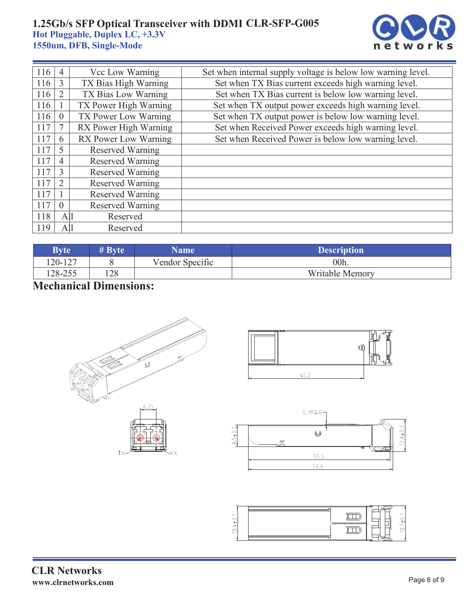

| 116 | 4              | Vcc Low Warning         | Set when internal supply voltage is below low warning level. |  |  |  |
|-----|----------------|-------------------------|--------------------------------------------------------------|--|--|--|
| 116 | 3              | TX Bias High Warning    | Set when TX Bias current exceeds high warning level.         |  |  |  |
| 116 | $\overline{2}$ | TX Bias Low Warning     | Set when TX Bias current is below low warning level.         |  |  |  |
| 116 |                | TX Power High Warning   | Set when TX output power exceeds high warning level.         |  |  |  |
| 116 | $\overline{0}$ | TX Power Low Warning    | Set when TX output power is below low warning level.         |  |  |  |
| 117 | $\tau$         | RX Power High Warning   | Set when Received Power exceeds high warning level.          |  |  |  |
| 117 | 6              | RX Power Low Warning    | Set when Received Power is below low warning level.          |  |  |  |
| 117 | 5              | <b>Reserved Warning</b> |                                                              |  |  |  |
| 117 | $\overline{4}$ | <b>Reserved Warning</b> |                                                              |  |  |  |
| 117 | 3              | <b>Reserved Warning</b> |                                                              |  |  |  |
| 117 | $\overline{2}$ | Reserved Warning        |                                                              |  |  |  |
| 117 |                | Reserved Warning        |                                                              |  |  |  |
| 117 | $\theta$       | Reserved Warning        |                                                              |  |  |  |
| 118 | All            | Reserved                |                                                              |  |  |  |
| 119 | All            | Reserved                |                                                              |  |  |  |

| <b>Byte</b> | $# B$ vte | <b>Name</b>     | <b>Description</b>     |
|-------------|-----------|-----------------|------------------------|
| $20 - 127$  |           | Vendor Specific | $00h$ .                |
| 128-255     | 128       |                 | <b>Writable Memory</b> |

# **Mechanical Dimensions:**